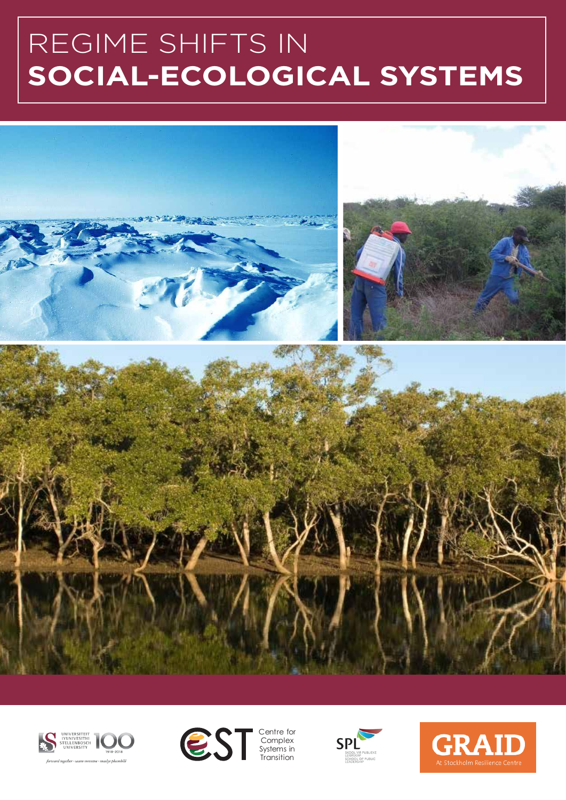# REGIME SHIFTS IN **SOCIAL-ECOLOGICAL SYSTEMS**







**Complex** Systems in Transition



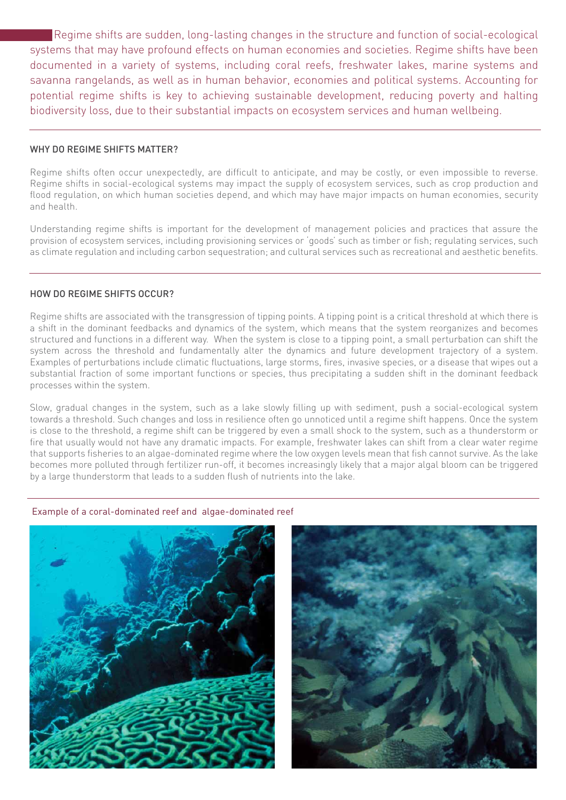Regime shifts are sudden, long-lasting changes in the structure and function of social-ecological systems that may have profound effects on human economies and societies. Regime shifts have been documented in a variety of systems, including coral reefs, freshwater lakes, marine systems and savanna rangelands, as well as in human behavior, economies and political systems. Accounting for potential regime shifts is key to achieving sustainable development, reducing poverty and halting biodiversity loss, due to their substantial impacts on ecosystem services and human wellbeing.

# WHY DO REGIME SHIFTS MATTER?

 $\overline{a}$ 

Regime shifts often occur unexpectedly, are difficult to anticipate, and may be costly, or even impossible to reverse. Regime shifts in social-ecological systems may impact the supply of ecosystem services, such as crop production and flood regulation, on which human societies depend, and which may have major impacts on human economies, security and health.

Understanding regime shifts is important for the development of management policies and practices that assure the provision of ecosystem services, including provisioning services or 'goods' such as timber or fish; regulating services, such as climate regulation and including carbon sequestration; and cultural services such as recreational and aesthetic benefits.

## HOW DO REGIME SHIFTS OCCUR?

Regime shifts are associated with the transgression of tipping points. A tipping point is a critical threshold at which there is a shift in the dominant feedbacks and dynamics of the system, which means that the system reorganizes and becomes structured and functions in a different way. When the system is close to a tipping point, a small perturbation can shift the system across the threshold and fundamentally alter the dynamics and future development trajectory of a system. Examples of perturbations include climatic fluctuations, large storms, fires, invasive species, or a disease that wipes out a substantial fraction of some important functions or species, thus precipitating a sudden shift in the dominant feedback processes within the system.

Slow, gradual changes in the system, such as a lake slowly filling up with sediment, push a social-ecological system towards a threshold. Such changes and loss in resilience often go unnoticed until a regime shift happens. Once the system is close to the threshold, a regime shift can be triggered by even a small shock to the system, such as a thunderstorm or fire that usually would not have any dramatic impacts. For example, freshwater lakes can shift from a clear water regime that supports fisheries to an algae-dominated regime where the low oxygen levels mean that fish cannot survive. As the lake becomes more polluted through fertilizer run-off, it becomes increasingly likely that a major algal bloom can be triggered by a large thunderstorm that leads to a sudden flush of nutrients into the lake.

## Example of a coral-dominated reef and algae-dominated reef



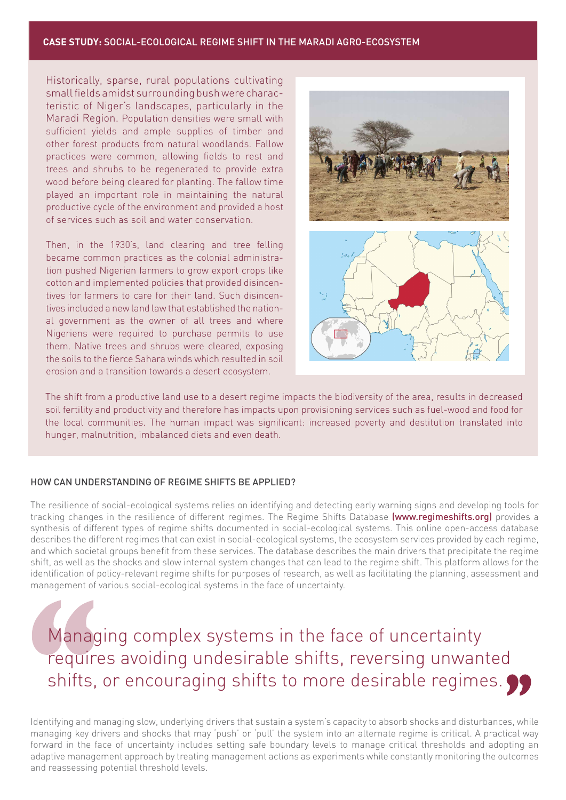## **CASE STUDY:** SOCIAL-ECOLOGICAL REGIME SHIFT IN THE MARADI AGRO-ECOSYSTEM

Historically, sparse, rural populations cultivating small fields amidst surrounding bush were characteristic of Niger's landscapes, particularly in the Maradi Region. Population densities were small with sufficient yields and ample supplies of timber and other forest products from natural woodlands. Fallow practices were common, allowing fields to rest and trees and shrubs to be regenerated to provide extra wood before being cleared for planting. The fallow time played an important role in maintaining the natural productive cycle of the environment and provided a host of services such as soil and water conservation.

Then, in the 1930's, land clearing and tree felling became common practices as the colonial administration pushed Nigerien farmers to grow export crops like cotton and implemented policies that provided disincentives for farmers to care for their land. Such disincentives included a new land law that established the national government as the owner of all trees and where Nigeriens were required to purchase permits to use them. Native trees and shrubs were cleared, exposing the soils to the fierce Sahara winds which resulted in soil erosion and a transition towards a desert ecosystem.



The shift from a productive land use to a desert regime impacts the biodiversity of the area, results in decreased soil fertility and productivity and therefore has impacts upon provisioning services such as fuel-wood and food for the local communities. The human impact was significant: increased poverty and destitution translated into hunger, malnutrition, imbalanced diets and even death.

# HOW CAN UNDERSTANDING OF REGIME SHIFTS BE APPLIED?

The resilience of social-ecological systems relies on identifying and detecting early warning signs and developing tools for tracking changes in the resilience of different regimes. The Regime Shifts Database (www.regimeshifts.org) provides a synthesis of different types of regime shifts documented in social-ecological systems. This online open-access database describes the different regimes that can exist in social-ecological systems, the ecosystem services provided by each regime, and which societal groups benefit from these services. The database describes the main drivers that precipitate the regime shift, as well as the shocks and slow internal system changes that can lead to the regime shift. This platform allows for the identification of policy-relevant regime shifts for purposes of research, as well as facilitating the planning, assessment and management of various social-ecological systems in the face of uncertainty.

Managing complex systems in the face of uncertainty requires avoiding undesirable shifts, reversing unwanted shifts, or encouraging shifts to more desirable regimes.

Identifying and managing slow, underlying drivers that sustain a system's capacity to absorb shocks and disturbances, while managing key drivers and shocks that may 'push' or 'pull' the system into an alternate regime is critical. A practical way forward in the face of uncertainty includes setting safe boundary levels to manage critical thresholds and adopting an adaptive management approach by treating management actions as experiments while constantly monitoring the outcomes and reassessing potential threshold levels.